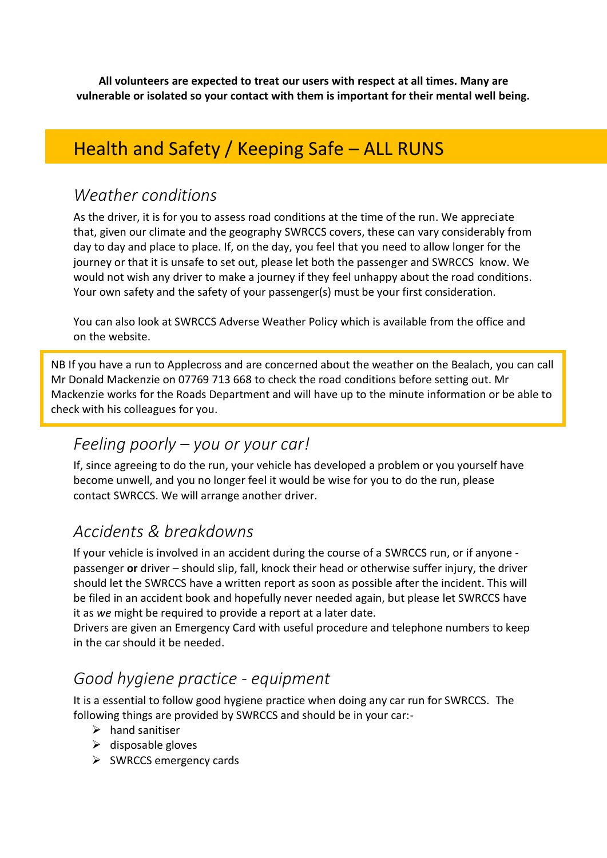**All volunteers are expected to treat our users with respect at all times. Many are vulnerable or isolated so your contact with them is important for their mental well being.**

# Health and Safety / Keeping Safe – ALL RUNS

### *Weather conditions*

As the driver, it is for you to assess road conditions at the time of the run. We appreciate that, given our climate and the geography SWRCCS covers, these can vary considerably from day to day and place to place. If, on the day, you feel that you need to allow longer for the journey or that it is unsafe to set out, please let both the passenger and SWRCCS know. We would not wish any driver to make a journey if they feel unhappy about the road conditions. Your own safety and the safety of your passenger(s) must be your first consideration.

You can also look at SWRCCS Adverse Weather Policy which is available from the office and on the website.

NB If you have a run to Applecross and are concerned about the weather on the Bealach, you can call Mr Donald Mackenzie on 07769 713 668 to check the road conditions before setting out. Mr Mackenzie works for the Roads Department and will have up to the minute information or be able to check with his colleagues for you.

## *Feeling poorly – you or your car!*

If, since agreeing to do the run, your vehicle has developed a problem or you yourself have become unwell, and you no longer feel it would be wise for you to do the run, please contact SWRCCS. We will arrange another driver.

## *Accidents & breakdowns*

If your vehicle is involved in an accident during the course of a SWRCCS run, or if anyone passenger **or** driver – should slip, fall, knock their head or otherwise suffer injury, the driver should let the SWRCCS have a written report as soon as possible after the incident. This will be filed in an accident book and hopefully never needed again, but please let SWRCCS have it as *we* might be required to provide a report at a later date.

Drivers are given an Emergency Card with useful procedure and telephone numbers to keep in the car should it be needed.

## *Good hygiene practice - equipment*

It is a essential to follow good hygiene practice when doing any car run for SWRCCS. The following things are provided by SWRCCS and should be in your car:-

- $\triangleright$  hand sanitiser
- $\triangleright$  disposable gloves
- ➢ SWRCCS emergency cards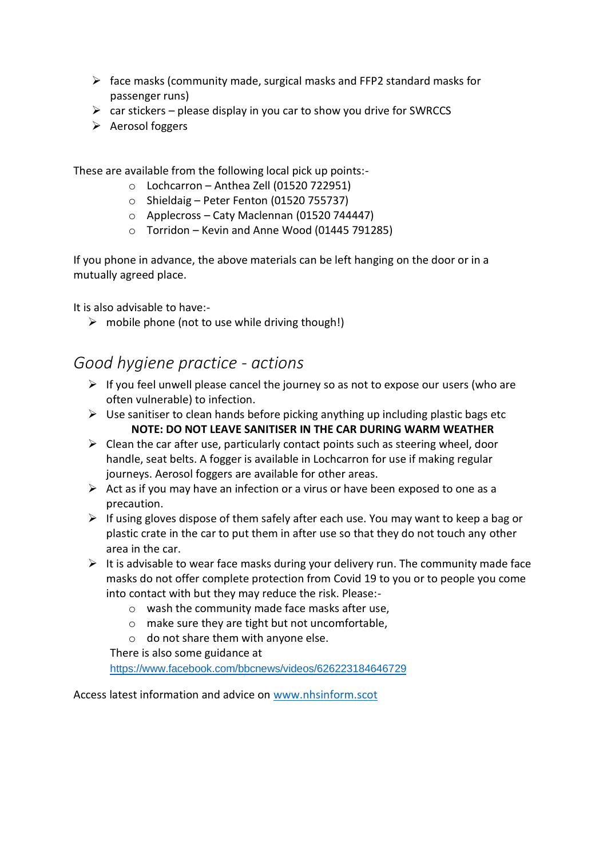- $\triangleright$  face masks (community made, surgical masks and FFP2 standard masks for passenger runs)
- $\triangleright$  car stickers please display in you car to show you drive for SWRCCS
- ➢ Aerosol foggers

These are available from the following local pick up points:-

- $\circ$  Lochcarron Anthea Zell (01520 722951)
- $\circ$  Shieldaig Peter Fenton (01520 755737)
- o Applecross Caty Maclennan (01520 744447)
- $\circ$  Torridon Kevin and Anne Wood (01445 791285)

If you phone in advance, the above materials can be left hanging on the door or in a mutually agreed place.

It is also advisable to have:-

 $\triangleright$  mobile phone (not to use while driving though!)

### *Good hygiene practice - actions*

- $\triangleright$  If you feel unwell please cancel the journey so as not to expose our users (who are often vulnerable) to infection.
- $\triangleright$  Use sanitiser to clean hands before picking anything up including plastic bags etc **NOTE: DO NOT LEAVE SANITISER IN THE CAR DURING WARM WEATHER**
- $\triangleright$  Clean the car after use, particularly contact points such as steering wheel, door handle, seat belts. A fogger is available in Lochcarron for use if making regular journeys. Aerosol foggers are available for other areas.
- $\triangleright$  Act as if you may have an infection or a virus or have been exposed to one as a precaution.
- $\triangleright$  If using gloves dispose of them safely after each use. You may want to keep a bag or plastic crate in the car to put them in after use so that they do not touch any other area in the car.
- $\triangleright$  It is advisable to wear face masks during your delivery run. The community made face masks do not offer complete protection from Covid 19 to you or to people you come into contact with but they may reduce the risk. Please:
	- o wash the community made face masks after use,
	- o make sure they are tight but not uncomfortable,
	- o do not share them with anyone else.

There is also some guidance at

<https://www.facebook.com/bbcnews/videos/626223184646729>

Access latest information and advice on [www.nhsinform.scot](http://www.nhsinform.scot/)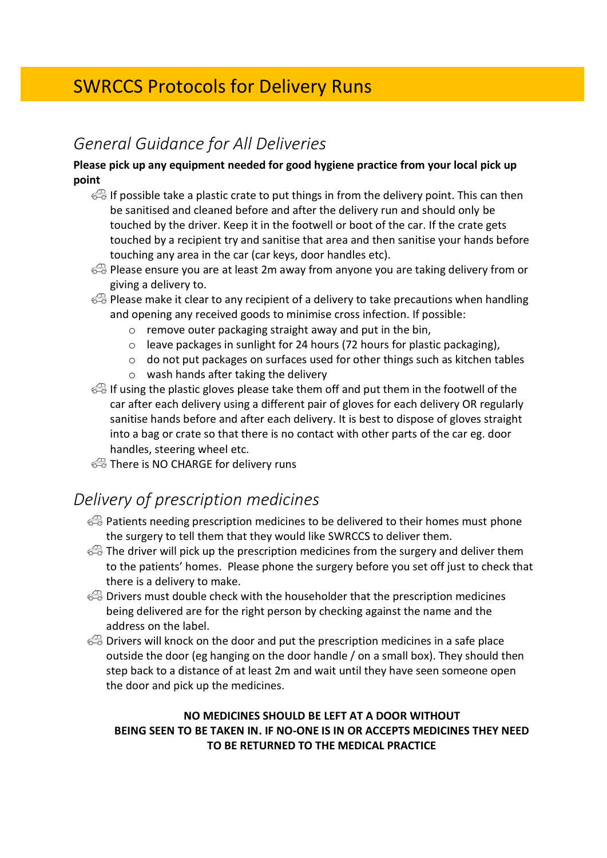# SWRCCS Protocols for Delivery Runs

# *General Guidance for All Deliveries*

#### **Please pick up any equipment needed for good hygiene practice from your local pick up point**

- If possible take a plastic crate to put things in from the delivery point. This can then be sanitised and cleaned before and after the delivery run and should only be touched by the driver. Keep it in the footwell or boot of the car. If the crate gets touched by a recipient try and sanitise that area and then sanitise your hands before touching any area in the car (car keys, door handles etc).
- Please ensure you are at least 2m away from anyone you are taking delivery from or giving a delivery to.
- $\bigcirc$  Please make it clear to any recipient of a delivery to take precautions when handling and opening any received goods to minimise cross infection. If possible:
	- o remove outer packaging straight away and put in the bin,
	- o leave packages in sunlight for 24 hours (72 hours for plastic packaging),
	- $\circ$  do not put packages on surfaces used for other things such as kitchen tables
	- o wash hands after taking the delivery
- **B** If using the plastic gloves please take them off and put them in the footwell of the car after each delivery using a different pair of gloves for each delivery OR regularly sanitise hands before and after each delivery. It is best to dispose of gloves straight into a bag or crate so that there is no contact with other parts of the car eg. door handles, steering wheel etc.
- There is NO CHARGE for delivery runs

# *Delivery of prescription medicines*

- $\bigcirc$  Patients needing prescription medicines to be delivered to their homes must phone the surgery to tell them that they would like SWRCCS to deliver them.
- $\epsilon \rightarrow 0$  The driver will pick up the prescription medicines from the surgery and deliver them to the patients' homes. Please phone the surgery before you set off just to check that there is a delivery to make.
- $\bigoplus$  Drivers must double check with the householder that the prescription medicines being delivered are for the right person by checking against the name and the address on the label.
- Drivers will knock on the door and put the prescription medicines in a safe place outside the door (eg hanging on the door handle / on a small box). They should then step back to a distance of at least 2m and wait until they have seen someone open the door and pick up the medicines.

#### **NO MEDICINES SHOULD BE LEFT AT A DOOR WITHOUT BEING SEEN TO BE TAKEN IN. IF NO-ONE IS IN OR ACCEPTS MEDICINES THEY NEED TO BE RETURNED TO THE MEDICAL PRACTICE**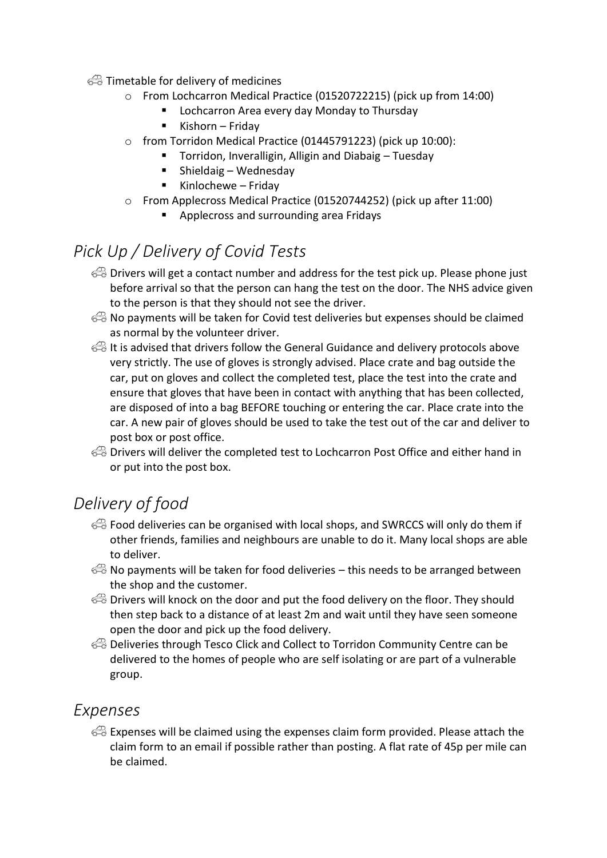#### $\textcircled{f}$  Timetable for delivery of medicines

- o From Lochcarron Medical Practice (01520722215) (pick up from 14:00)
	- Lochcarron Area every day Monday to Thursday
	- Kishorn Friday
- o from Torridon Medical Practice (01445791223) (pick up 10:00):
	- Torridon, Inveralligin, Alligin and Diabaig Tuesday
		- Shieldaig Wednesday
		- Kinlochewe Friday
- o From Applecross Medical Practice (01520744252) (pick up after 11:00)
	- Applecross and surrounding area Fridays

# *Pick Up / Delivery of Covid Tests*

- Drivers will get a contact number and address for the test pick up. Please phone just before arrival so that the person can hang the test on the door. The NHS advice given to the person is that they should not see the driver.
- No payments will be taken for Covid test deliveries but expenses should be claimed as normal by the volunteer driver.
- It is advised that drivers follow the General Guidance and delivery protocols above very strictly. The use of gloves is strongly advised. Place crate and bag outside the car, put on gloves and collect the completed test, place the test into the crate and ensure that gloves that have been in contact with anything that has been collected, are disposed of into a bag BEFORE touching or entering the car. Place crate into the car. A new pair of gloves should be used to take the test out of the car and deliver to post box or post office.
- Drivers will deliver the completed test to Lochcarron Post Office and either hand in or put into the post box.

# *Delivery of food*

- Food deliveries can be organised with local shops, and SWRCCS will only do them if other friends, families and neighbours are unable to do it. Many local shops are able to deliver.
- $\mathbb{R}$  No payments will be taken for food deliveries this needs to be arranged between the shop and the customer.
- $\iff$  Drivers will knock on the door and put the food delivery on the floor. They should then step back to a distance of at least 2m and wait until they have seen someone open the door and pick up the food delivery.
- Deliveries through Tesco Click and Collect to Torridon Community Centre can be delivered to the homes of people who are self isolating or are part of a vulnerable group.

## *Expenses*

 $\iff$  Expenses will be claimed using the expenses claim form provided. Please attach the claim form to an email if possible rather than posting. A flat rate of 45p per mile can be claimed.